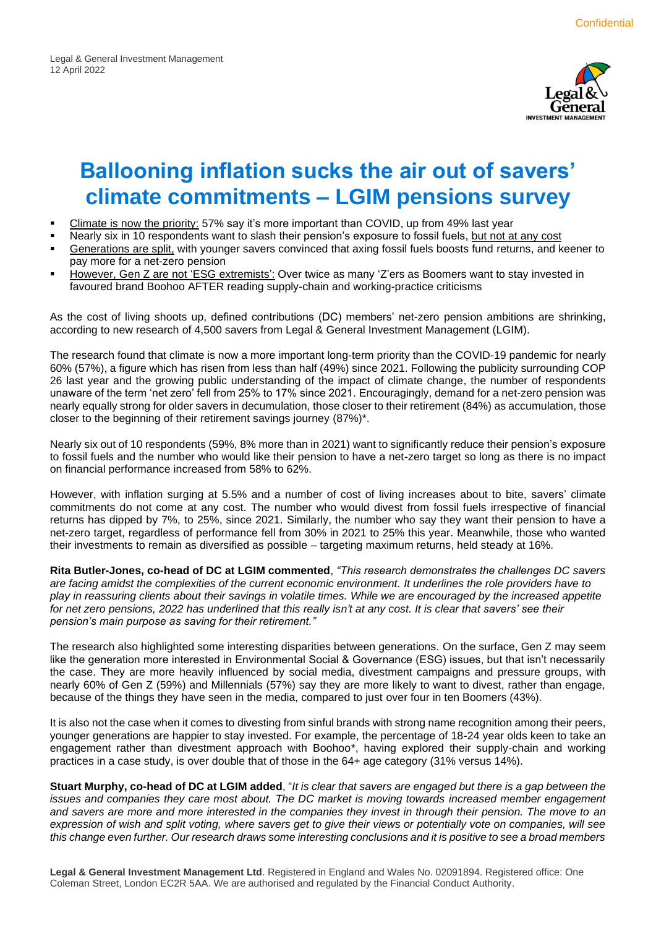

# **Ballooning inflation sucks the air out of savers' climate commitments – LGIM pensions survey**

- Climate is now the priority: 57% say it's more important than COVID, up from 49% last year
- Nearly six in 10 respondents want to slash their pension's exposure to fossil fuels, but not at any cost
- Generations are split, with younger savers convinced that axing fossil fuels boosts fund returns, and keener to pay more for a net-zero pension
- However, Gen Z are not 'ESG extremists': Over twice as many 'Z'ers as Boomers want to stay invested in favoured brand Boohoo AFTER reading supply-chain and working-practice criticisms

As the cost of living shoots up, defined contributions (DC) members' net-zero pension ambitions are shrinking, according to new research of 4,500 savers from Legal & General Investment Management (LGIM).

The research found that climate is now a more important long-term priority than the COVID-19 pandemic for nearly 60% (57%), a figure which has risen from less than half (49%) since 2021. Following the publicity surrounding COP 26 last year and the growing public understanding of the impact of climate change, the number of respondents unaware of the term 'net zero' fell from 25% to 17% since 2021. Encouragingly, demand for a net-zero pension was nearly equally strong for older savers in decumulation, those closer to their retirement (84%) as accumulation, those closer to the beginning of their retirement savings journey (87%)\*.

Nearly six out of 10 respondents (59%, 8% more than in 2021) want to significantly reduce their pension's exposure to fossil fuels and the number who would like their pension to have a net-zero target so long as there is no impact on financial performance increased from 58% to 62%.

However, with inflation surging at 5.5% and a number of cost of living increases about to bite, savers' climate commitments do not come at any cost. The number who would divest from fossil fuels irrespective of financial returns has dipped by 7%, to 25%, since 2021. Similarly, the number who say they want their pension to have a net-zero target, regardless of performance fell from 30% in 2021 to 25% this year. Meanwhile, those who wanted their investments to remain as diversified as possible – targeting maximum returns, held steady at 16%.

**Rita Butler-Jones, co-head of DC at LGIM commented**, *"This research demonstrates the challenges DC savers are facing amidst the complexities of the current economic environment. It underlines the role providers have to play in reassuring clients about their savings in volatile times. While we are encouraged by the increased appetite for net zero pensions, 2022 has underlined that this really isn't at any cost. It is clear that savers' see their pension's main purpose as saving for their retirement."*

The research also highlighted some interesting disparities between generations. On the surface, Gen Z may seem like the generation more interested in Environmental Social & Governance (ESG) issues, but that isn't necessarily the case. They are more heavily influenced by social media, divestment campaigns and pressure groups, with nearly 60% of Gen Z (59%) and Millennials (57%) say they are more likely to want to divest, rather than engage, because of the things they have seen in the media, compared to just over four in ten Boomers (43%).

It is also not the case when it comes to divesting from sinful brands with strong name recognition among their peers, younger generations are happier to stay invested. For example, the percentage of 18-24 year olds keen to take an engagement rather than divestment approach with Boohoo\*, having explored their supply-chain and working practices in a case study, is over double that of those in the 64+ age category (31% versus 14%).

**Stuart Murphy, co-head of DC at LGIM added**, "*It is clear that savers are engaged but there is a gap between the* issues and companies they care most about. The DC market is moving towards increased member engagement *and savers are more and more interested in the companies they invest in through their pension. The move to an expression of wish and split voting, where savers get to give their views or potentially vote on companies, will see this change even further. Our research draws some interesting conclusions and it is positive to see a broad members*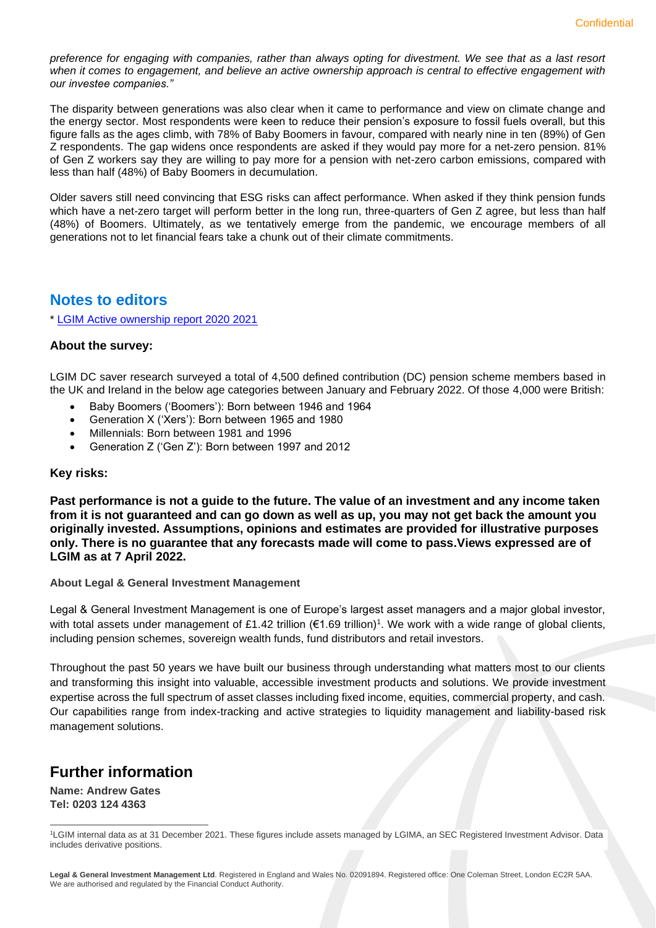*preference for engaging with companies, rather than always opting for divestment. We see that as a last resort when it comes to engagement, and believe an active ownership approach is central to effective engagement with our investee companies."*

The disparity between generations was also clear when it came to performance and view on climate change and the energy sector. Most respondents were keen to reduce their pension's exposure to fossil fuels overall, but this figure falls as the ages climb, with 78% of Baby Boomers in favour, compared with nearly nine in ten (89%) of Gen Z respondents. The gap widens once respondents are asked if they would pay more for a net-zero pension. 81% of Gen Z workers say they are willing to pay more for a pension with net-zero carbon emissions, compared with less than half (48%) of Baby Boomers in decumulation.

Older savers still need convincing that ESG risks can affect performance. When asked if they think pension funds which have a net-zero target will perform better in the long run, three-quarters of Gen Z agree, but less than half (48%) of Boomers. Ultimately, as we tentatively emerge from the pandemic, we encourage members of all generations not to let financial fears take a chunk out of their climate commitments.

## **Notes to editors**

\* [LGIM Active ownership report 2020 2021](https://www.lgim.com/landg-assets/lgim/_document-library/capabilities/active-ownership-report-2020.pdf)

### **About the survey:**

LGIM DC saver research surveyed a total of 4,500 defined contribution (DC) pension scheme members based in the UK and Ireland in the below age categories between January and February 2022. Of those 4,000 were British:

- Baby Boomers ('Boomers'): Born between 1946 and 1964
- Generation X ('Xers'): Born between 1965 and 1980
- Millennials: Born between 1981 and 1996
- Generation Z ('Gen Z'): Born between 1997 and 2012

#### **Key risks:**

**Past performance is not a guide to the future. The value of an investment and any income taken from it is not guaranteed and can go down as well as up, you may not get back the amount you originally invested. Assumptions, opinions and estimates are provided for illustrative purposes only. There is no guarantee that any forecasts made will come to pass.Views expressed are of LGIM as at 7 April 2022.**

#### **About Legal & General Investment Management**

Legal & General Investment Management is one of Europe's largest asset managers and a major global investor, with total assets under management of £1.42 trillion (€1.69 trillion)<sup>1</sup>. We work with a wide range of global clients, including pension schemes, sovereign wealth funds, fund distributors and retail investors.

Throughout the past 50 years we have built our business through understanding what matters most to our clients and transforming this insight into valuable, accessible investment products and solutions. We provide investment expertise across the full spectrum of asset classes including fixed income, equities, commercial property, and cash. Our capabilities range from index-tracking and active strategies to liquidity management and liability-based risk management solutions.

## **Further information**

**Name: Andrew Gates Tel: 0203 124 4363**

<sup>1</sup>LGIM internal data as at 31 December 2021. These figures include assets managed by LGIMA, an SEC Registered Investment Advisor. Data includes derivative positions.